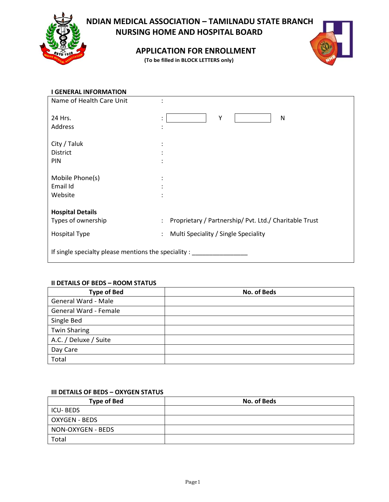

# **INDIAN MEDICAL ASSOCIATION – TAMILNADU STATE BRANCH NURSING HOME AND HOSPITAL BOARD**

**APPLICATION FOR ENROLLMENT**

**(To be filled in BLOCK LETTERS only)**



| <b>GENERAL INFORMATION</b>                             |                                                                                |
|--------------------------------------------------------|--------------------------------------------------------------------------------|
| Name of Health Care Unit                               |                                                                                |
|                                                        |                                                                                |
| 24 Hrs.                                                | Υ<br>N<br>٠<br>$\bullet$                                                       |
| Address                                                |                                                                                |
|                                                        |                                                                                |
| City / Taluk                                           |                                                                                |
| <b>District</b>                                        |                                                                                |
| PIN                                                    |                                                                                |
|                                                        |                                                                                |
| Mobile Phone(s)                                        |                                                                                |
| Email Id                                               |                                                                                |
| Website                                                |                                                                                |
|                                                        |                                                                                |
| <b>Hospital Details</b>                                |                                                                                |
| Types of ownership                                     | Proprietary / Partnership/ Pvt. Ltd./ Charitable Trust<br>$\ddot{\phantom{0}}$ |
| <b>Hospital Type</b>                                   | Multi Speciality / Single Speciality<br>$\ddot{\phantom{a}}$                   |
|                                                        |                                                                                |
| If single specialty please mentions the speciality : _ |                                                                                |
|                                                        |                                                                                |

# **II DETAILS OF BEDS – ROOM STATUS**

| <b>Type of Bed</b>    | No. of Beds |
|-----------------------|-------------|
| General Ward - Male   |             |
| General Ward - Female |             |
| Single Bed            |             |
| <b>Twin Sharing</b>   |             |
| A.C. / Deluxe / Suite |             |
| Day Care              |             |
| Total                 |             |

# **III DETAILS OF BEDS – OXYGEN STATUS**

| <b>Type of Bed</b>   | No. of Beds |
|----------------------|-------------|
| ICU-BEDS             |             |
| <b>OXYGEN - BEDS</b> |             |
| NON-OXYGEN - BEDS    |             |
| Total                |             |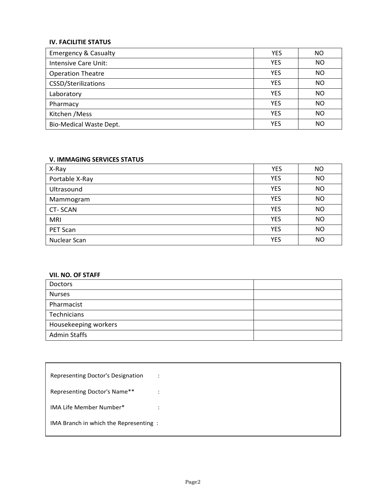# **IV. FACILITIE STATUS**

| <b>Emergency &amp; Casualty</b> | <b>YES</b> | NO             |
|---------------------------------|------------|----------------|
| Intensive Care Unit:            | <b>YES</b> | NO             |
| <b>Operation Theatre</b>        | <b>YES</b> | NO             |
| CSSD/Sterilizations             | <b>YES</b> | <b>NO</b>      |
| Laboratory                      | <b>YES</b> | <b>NO</b>      |
| Pharmacy                        | <b>YES</b> | N <sub>O</sub> |
| Kitchen / Mess                  | <b>YES</b> | NΟ             |
| <b>Bio-Medical Waste Dept.</b>  | <b>YES</b> | NΟ             |

# **V. IMMAGING SERVICES STATUS**

| X-Ray          | <b>YES</b> | ΝO        |
|----------------|------------|-----------|
| Portable X-Ray | <b>YES</b> | <b>NO</b> |
| Ultrasound     | <b>YES</b> | NO        |
| Mammogram      | <b>YES</b> | <b>NO</b> |
| <b>CT-SCAN</b> | <b>YES</b> | <b>NO</b> |
| <b>MRI</b>     | <b>YES</b> | <b>NO</b> |
| PET Scan       | <b>YES</b> | NO        |
| Nuclear Scan   | <b>YES</b> | NO        |

## **VII. NO. OF STAFF**

| Doctors              |  |
|----------------------|--|
| <b>Nurses</b>        |  |
| Pharmacist           |  |
| Technicians          |  |
| Housekeeping workers |  |
| <b>Admin Staffs</b>  |  |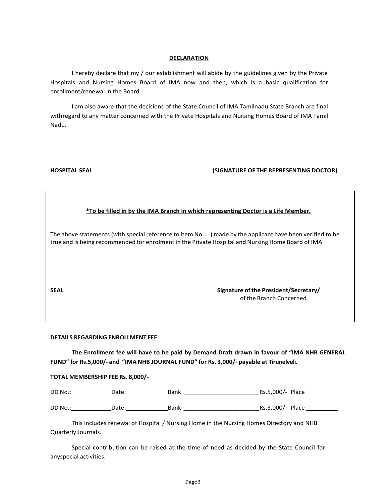#### **DECLARATION**

I hereby declare that my / our establishment will abide by the guidelines given by the Private Hospitals and Nursing Homes Board of IMA now and then, which is a basic qualification for enrollment/renewal in the Board.

I am also aware that the decisions of the State Council of IMA Tamilnadu State Branch are final withregard to any matter concerned with the Private Hospitals and Nursing Homes Board of IMA Tamil Nadu.

### **HOSPITAL SEAL (SIGNATURE OF THE REPRESENTING DOCTOR)**

|--|

The above statements (with special reference to item No....) made by the applicant have been verified to be true and is being recommended for enrolment in the Private Hospital and Nursing Home Board of IMA

**SEAL Signature ofthe President/Secretary/** ofthe Branch Concerned

#### **DETAILS REGARDING ENROLLMENT FEE**

**The Enrollment fee will have to be paid by Demand Draft drawn in favour of "IMA NHB GENERAL FUND" for Rs.5,000/- and "IMA NHB JOURNAL FUND" for Rs. 3,000/- payable at Tirunelveli.**

#### **TOTAL MEMBERSHIP FEE Rs. 8,000/-**

|  | Bank |  | DD No. |
|--|------|--|--------|
|  |      |  |        |

| DD No.: | Jate<br>$\overline{\phantom{a}}$ | Bank | .000.<br>Place<br>Dr. |
|---------|----------------------------------|------|-----------------------|
|         |                                  |      |                       |

This includes renewal of Hospital / Nursing Home in the Nursing Homes Directory and NHB Quarterly Journals.

Special contribution can be raised at the time of need as decided by the State Council for anyspecial activities.